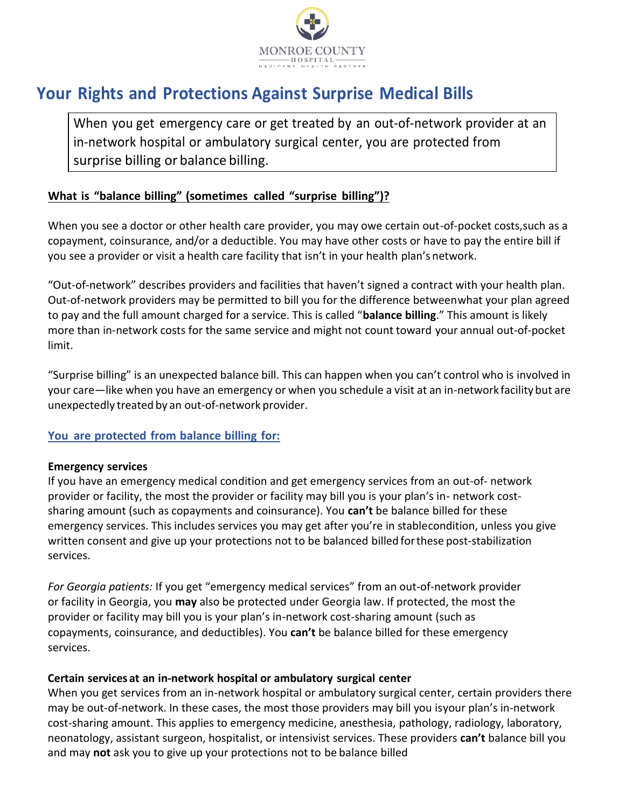

# **Your Rights and Protections Against Surprise Medical Bills**

When you get emergency care or get treated by an out-of-network provider at an in-network hospital or ambulatory surgical center, you are protected from surprise billing or balance billing.

#### **What is "balance billing" (sometimes called "surprise billing")?**

When you see a doctor or other health care provider, you may owe certain out-of-pocket costs,such as a copayment, coinsurance, and/or a deductible. You may have other costs or have to pay the entire bill if you see a provider or visit a health care facility that isn't in your health plan's network.

"Out-of-network" describes providers and facilities that haven't signed a contract with your health plan. Out-of-network providers may be permitted to bill you for the difference betweenwhat your plan agreed to pay and the full amount charged for a service. This is called "**balance billing**." This amount is likely more than in-network costs for the same service and might not count toward your annual out-of-pocket limit.

"Surprise billing" is an unexpected balance bill. This can happen when you can't control who is involved in your care—like when you have an emergency or when you schedule a visit at an in-network facilitybut are unexpectedly treated by an out-of-network provider.

#### **You are protected from balance billing for:**

#### **Emergency services**

If you have an emergency medical condition and get emergency services from an out-of- network provider or facility, the most the provider or facility may bill you is your plan's in- network costsharing amount (such as copayments and coinsurance). You **can't** be balance billed for these emergency services. This includes services you may get after you're in stablecondition, unless you give written consent and give up your protections not to be balanced billed forthese post-stabilization services.

 *For Georgia patients:* If you get "emergency medical services" from an out-of-network provider or facility in Georgia, you **may** also be protected under Georgia law. If protected, the most the provider or facility may bill you is your plan's in-network cost-sharing amount (such as copayments, coinsurance, and deductibles). You **can't** be balance billed for these emergency services.

#### **Certain services at an in-network hospital or ambulatory surgical center**

When you get services from an in-network hospital or ambulatory surgical center, certain providers there may be out-of-network. In these cases, the most those providers may bill you isyour plan's in-network cost-sharing amount. This applies to emergency medicine, anesthesia, pathology, radiology, laboratory, neonatology, assistant surgeon, hospitalist, or intensivist services. These providers **can't** balance bill you and may **not** ask you to give up your protections not to be balance billed